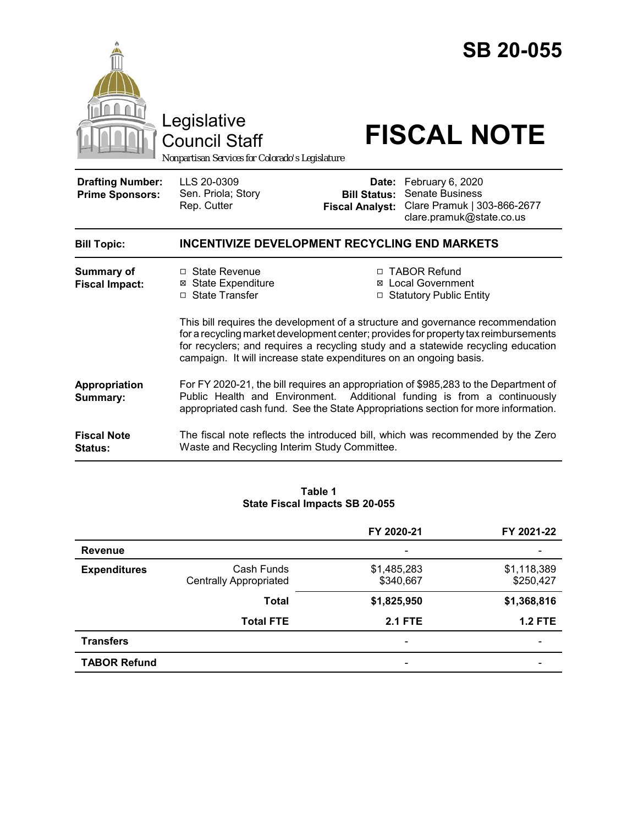|                                                   | Legislative<br><b>Council Staff</b><br>Nonpartisan Services for Colorado's Legislature                                                                                                                                                                                                                                            |                                                        | <b>SB 20-055</b><br><b>FISCAL NOTE</b>                                                                |  |
|---------------------------------------------------|-----------------------------------------------------------------------------------------------------------------------------------------------------------------------------------------------------------------------------------------------------------------------------------------------------------------------------------|--------------------------------------------------------|-------------------------------------------------------------------------------------------------------|--|
| <b>Drafting Number:</b><br><b>Prime Sponsors:</b> | LLS 20-0309<br>Sen. Priola; Story<br>Rep. Cutter                                                                                                                                                                                                                                                                                  | Date:<br><b>Bill Status:</b><br><b>Fiscal Analyst:</b> | February 6, 2020<br><b>Senate Business</b><br>Clare Pramuk   303-866-2677<br>clare.pramuk@state.co.us |  |
| <b>Bill Topic:</b>                                | <b>INCENTIVIZE DEVELOPMENT RECYCLING END MARKETS</b>                                                                                                                                                                                                                                                                              |                                                        |                                                                                                       |  |
| <b>Summary of</b><br><b>Fiscal Impact:</b>        | □ State Revenue<br><b>⊠</b> State Expenditure<br>□ State Transfer                                                                                                                                                                                                                                                                 |                                                        | □ TABOR Refund<br><b>⊠</b> Local Government<br>□ Statutory Public Entity                              |  |
|                                                   | This bill requires the development of a structure and governance recommendation<br>for a recycling market development center; provides for property tax reimbursements<br>for recyclers; and requires a recycling study and a statewide recycling education<br>campaign. It will increase state expenditures on an ongoing basis. |                                                        |                                                                                                       |  |
| Appropriation<br>Summary:                         | For FY 2020-21, the bill requires an appropriation of \$985,283 to the Department of<br>Public Health and Environment.<br>Additional funding is from a continuously<br>appropriated cash fund. See the State Appropriations section for more information.                                                                         |                                                        |                                                                                                       |  |
| <b>Fiscal Note</b><br><b>Status:</b>              | Waste and Recycling Interim Study Committee.                                                                                                                                                                                                                                                                                      |                                                        | The fiscal note reflects the introduced bill, which was recommended by the Zero                       |  |

#### **Table 1 State Fiscal Impacts SB 20-055**

|                     |                                             | FY 2020-21                   | FY 2021-22               |
|---------------------|---------------------------------------------|------------------------------|--------------------------|
| <b>Revenue</b>      |                                             | $\qquad \qquad \blacksquare$ |                          |
| <b>Expenditures</b> | Cash Funds<br><b>Centrally Appropriated</b> | \$1,485,283<br>\$340,667     | \$1,118,389<br>\$250,427 |
|                     | <b>Total</b>                                | \$1,825,950                  | \$1,368,816              |
|                     | <b>Total FTE</b>                            | <b>2.1 FTE</b>               | $1.2$ FTE                |
| <b>Transfers</b>    |                                             | $\overline{\phantom{a}}$     |                          |
| <b>TABOR Refund</b> |                                             |                              |                          |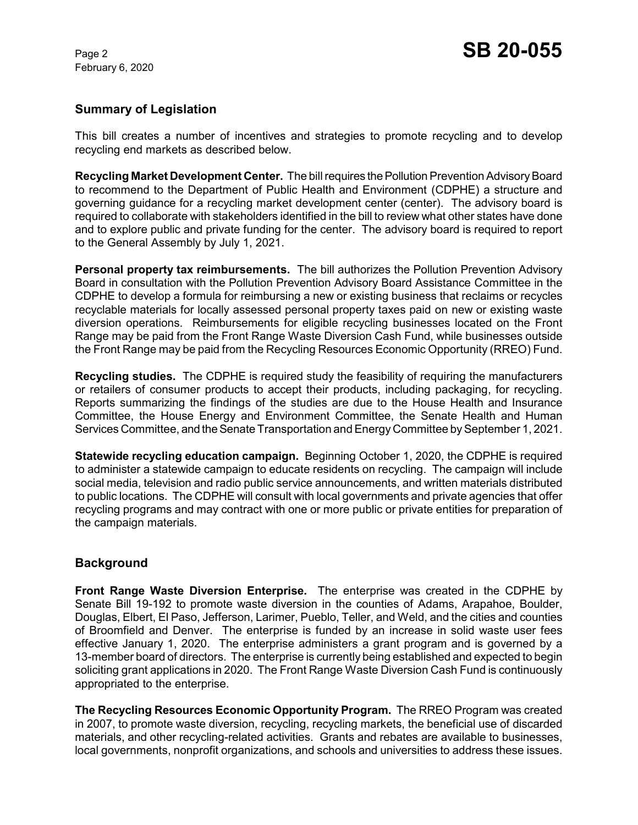February 6, 2020

## **Summary of Legislation**

This bill creates a number of incentives and strategies to promote recycling and to develop recycling end markets as described below.

**Recycling Market Development Center.** The bill requires the Pollution Prevention Advisory Board to recommend to the Department of Public Health and Environment (CDPHE) a structure and governing guidance for a recycling market development center (center). The advisory board is required to collaborate with stakeholders identified in the bill to review what other states have done and to explore public and private funding for the center. The advisory board is required to report to the General Assembly by July 1, 2021.

**Personal property tax reimbursements.** The bill authorizes the Pollution Prevention Advisory Board in consultation with the Pollution Prevention Advisory Board Assistance Committee in the CDPHE to develop a formula for reimbursing a new or existing business that reclaims or recycles recyclable materials for locally assessed personal property taxes paid on new or existing waste diversion operations. Reimbursements for eligible recycling businesses located on the Front Range may be paid from the Front Range Waste Diversion Cash Fund, while businesses outside the Front Range may be paid from the Recycling Resources Economic Opportunity (RREO) Fund.

**Recycling studies.** The CDPHE is required study the feasibility of requiring the manufacturers or retailers of consumer products to accept their products, including packaging, for recycling. Reports summarizing the findings of the studies are due to the House Health and Insurance Committee, the House Energy and Environment Committee, the Senate Health and Human Services Committee, and the Senate Transportation and Energy Committee by September 1, 2021.

**Statewide recycling education campaign.** Beginning October 1, 2020, the CDPHE is required to administer a statewide campaign to educate residents on recycling. The campaign will include social media, television and radio public service announcements, and written materials distributed to public locations. The CDPHE will consult with local governments and private agencies that offer recycling programs and may contract with one or more public or private entities for preparation of the campaign materials.

# **Background**

**Front Range Waste Diversion Enterprise.** The enterprise was created in the CDPHE by Senate Bill 19-192 to promote waste diversion in the counties of Adams, Arapahoe, Boulder, Douglas, Elbert, El Paso, Jefferson, Larimer, Pueblo, Teller, and Weld, and the cities and counties of Broomfield and Denver. The enterprise is funded by an increase in solid waste user fees effective January 1, 2020. The enterprise administers a grant program and is governed by a 13-member board of directors. The enterprise is currently being established and expected to begin soliciting grant applications in 2020. The Front Range Waste Diversion Cash Fund is continuously appropriated to the enterprise.

**The Recycling Resources Economic Opportunity Program.** The RREO Program was created in 2007, to promote waste diversion, recycling, recycling markets, the beneficial use of discarded materials, and other recycling-related activities. Grants and rebates are available to businesses, local governments, nonprofit organizations, and schools and universities to address these issues.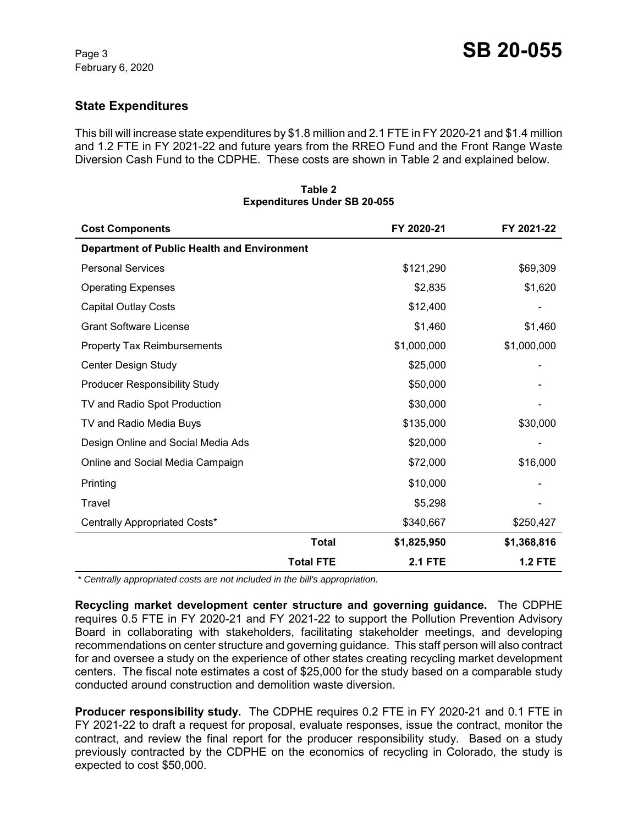# **State Expenditures**

This bill will increase state expenditures by \$1.8 million and 2.1 FTE in FY 2020-21 and \$1.4 million and 1.2 FTE in FY 2021-22 and future years from the RREO Fund and the Front Range Waste Diversion Cash Fund to the CDPHE. These costs are shown in Table 2 and explained below.

| <b>Cost Components</b>                             |                  | FY 2020-21     | FY 2021-22     |
|----------------------------------------------------|------------------|----------------|----------------|
| <b>Department of Public Health and Environment</b> |                  |                |                |
| <b>Personal Services</b>                           |                  | \$121,290      | \$69,309       |
| <b>Operating Expenses</b>                          |                  | \$2,835        | \$1,620        |
| <b>Capital Outlay Costs</b>                        |                  | \$12,400       |                |
| <b>Grant Software License</b>                      |                  | \$1,460        | \$1,460        |
| <b>Property Tax Reimbursements</b>                 |                  | \$1,000,000    | \$1,000,000    |
| Center Design Study                                |                  | \$25,000       |                |
| <b>Producer Responsibility Study</b>               |                  | \$50,000       |                |
| TV and Radio Spot Production                       |                  | \$30,000       |                |
| TV and Radio Media Buys                            |                  | \$135,000      | \$30,000       |
| Design Online and Social Media Ads                 |                  | \$20,000       |                |
| Online and Social Media Campaign                   |                  | \$72,000       | \$16,000       |
| Printing                                           |                  | \$10,000       |                |
| Travel                                             |                  | \$5,298        |                |
| Centrally Appropriated Costs*                      |                  | \$340,667      | \$250,427      |
|                                                    | Total            | \$1,825,950    | \$1,368,816    |
|                                                    | <b>Total FTE</b> | <b>2.1 FTE</b> | <b>1.2 FTE</b> |

#### **Table 2 Expenditures Under SB 20-055**

 *\* Centrally appropriated costs are not included in the bill's appropriation.*

**Recycling market development center structure and governing guidance.** The CDPHE requires 0.5 FTE in FY 2020-21 and FY 2021-22 to support the Pollution Prevention Advisory Board in collaborating with stakeholders, facilitating stakeholder meetings, and developing recommendations on center structure and governing guidance. This staff person will also contract for and oversee a study on the experience of other states creating recycling market development centers. The fiscal note estimates a cost of \$25,000 for the study based on a comparable study conducted around construction and demolition waste diversion.

**Producer responsibility study.** The CDPHE requires 0.2 FTE in FY 2020-21 and 0.1 FTE in FY 2021-22 to draft a request for proposal, evaluate responses, issue the contract, monitor the contract, and review the final report for the producer responsibility study. Based on a study previously contracted by the CDPHE on the economics of recycling in Colorado, the study is expected to cost \$50,000.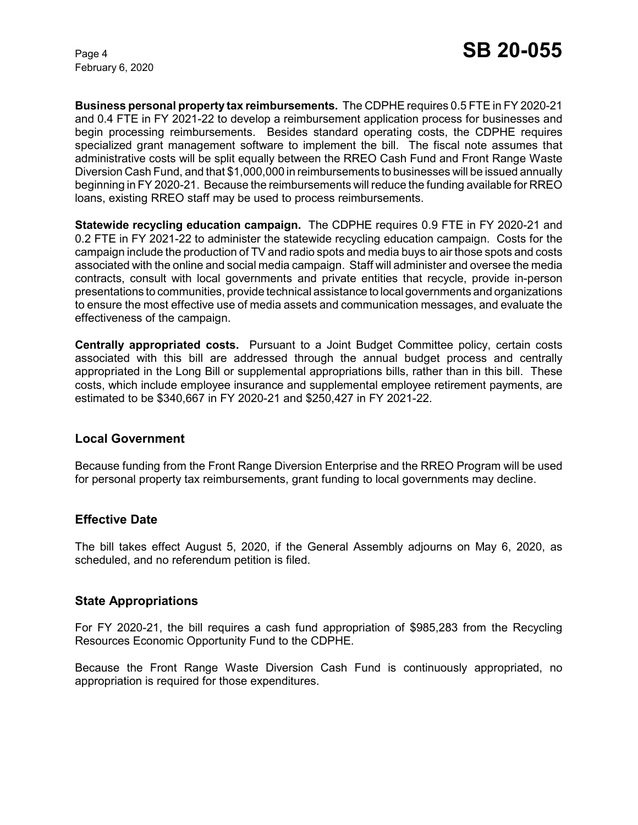February 6, 2020

**Business personal property tax reimbursements.** The CDPHE requires 0.5 FTE in FY 2020-21 and 0.4 FTE in FY 2021-22 to develop a reimbursement application process for businesses and begin processing reimbursements. Besides standard operating costs, the CDPHE requires specialized grant management software to implement the bill. The fiscal note assumes that administrative costs will be split equally between the RREO Cash Fund and Front Range Waste Diversion Cash Fund, and that \$1,000,000 in reimbursements to businesses will be issued annually beginning in FY 2020-21. Because the reimbursements will reduce the funding available for RREO loans, existing RREO staff may be used to process reimbursements.

**Statewide recycling education campaign.** The CDPHE requires 0.9 FTE in FY 2020-21 and 0.2 FTE in FY 2021-22 to administer the statewide recycling education campaign. Costs for the campaign include the production of TV and radio spots and media buys to air those spots and costs associated with the online and social media campaign. Staff will administer and oversee the media contracts, consult with local governments and private entities that recycle, provide in-person presentations to communities, provide technical assistance to local governments and organizations to ensure the most effective use of media assets and communication messages, and evaluate the effectiveness of the campaign.

**Centrally appropriated costs.** Pursuant to a Joint Budget Committee policy, certain costs associated with this bill are addressed through the annual budget process and centrally appropriated in the Long Bill or supplemental appropriations bills, rather than in this bill. These costs, which include employee insurance and supplemental employee retirement payments, are estimated to be \$340,667 in FY 2020-21 and \$250,427 in FY 2021-22.

### **Local Government**

Because funding from the Front Range Diversion Enterprise and the RREO Program will be used for personal property tax reimbursements, grant funding to local governments may decline.

### **Effective Date**

The bill takes effect August 5, 2020, if the General Assembly adjourns on May 6, 2020, as scheduled, and no referendum petition is filed.

### **State Appropriations**

For FY 2020-21, the bill requires a cash fund appropriation of \$985,283 from the Recycling Resources Economic Opportunity Fund to the CDPHE.

Because the Front Range Waste Diversion Cash Fund is continuously appropriated, no appropriation is required for those expenditures.